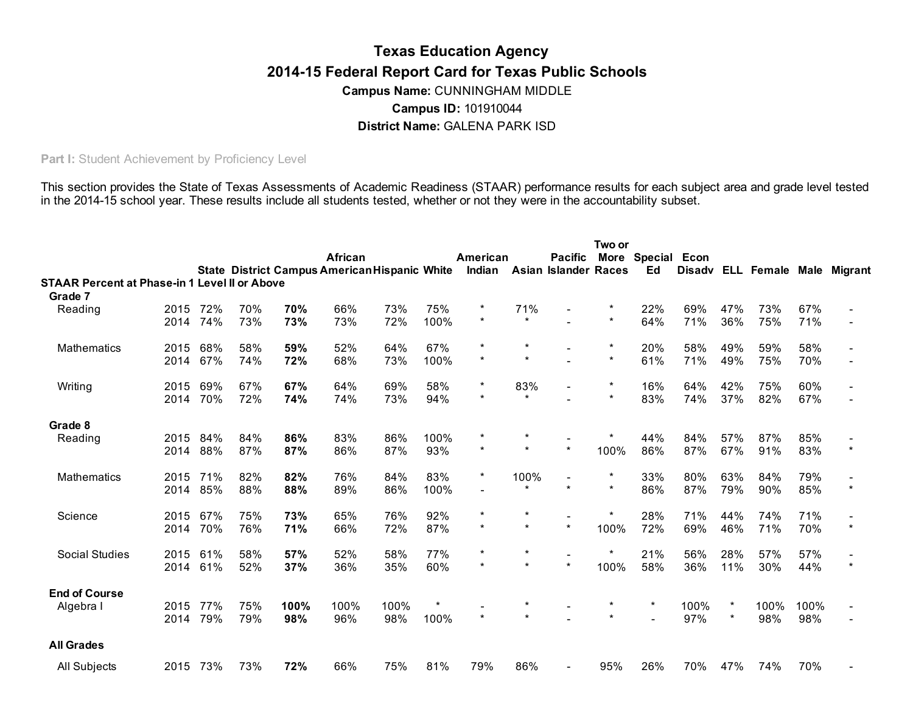# Texas Education Agency 2014-15 Federal Report Card for Texas Public Schools District Name: GALENA PARK ISD Campus Name: CUNNINGHAM MIDDLE Campus ID: 101910044

Part I: Student Achievement by Proficiency Level

 This section provides the State of Texas Assessments of Academic Readiness (STAAR) performance results for each subject area and grade level tested in the 2014-15 school year. These results include all students tested, whether or not they were in the accountability subset.

|                                                      |              |            |            |            | African<br><b>State District Campus American Hispanic White</b> |            |             | American<br>Indian |                | <b>Pacific</b><br><b>Asian Islander Races</b> | Two or<br>More | Special<br>Ed | Econ       |                    | Disadv ELL Female Male Migrant |            |         |
|------------------------------------------------------|--------------|------------|------------|------------|-----------------------------------------------------------------|------------|-------------|--------------------|----------------|-----------------------------------------------|----------------|---------------|------------|--------------------|--------------------------------|------------|---------|
| <b>STAAR Percent at Phase-in 1 Level II or Above</b> |              |            |            |            |                                                                 |            |             |                    |                |                                               |                |               |            |                    |                                |            |         |
| Grade 7                                              |              |            |            |            |                                                                 |            |             |                    |                |                                               |                |               |            |                    |                                |            |         |
| Reading                                              | 2015<br>2014 | 72%<br>74% | 70%<br>73% | 70%<br>73% | 66%<br>73%                                                      | 73%<br>72% | 75%<br>100% | $\star$            | 71%<br>$\star$ |                                               | $\star$        | 22%<br>64%    | 69%<br>71% | 47%<br>36%         | 73%<br>75%                     | 67%<br>71% |         |
| Mathematics                                          | 2015         | 68%        | 58%        | 59%        | 52%                                                             | 64%        | 67%         |                    |                |                                               | $\star$        | 20%           | 58%        | 49%                | 59%                            | 58%        |         |
|                                                      | 2014         | 67%        | 74%        | 72%        | 68%                                                             | 73%        | 100%        | $\star$            |                |                                               | $\star$        | 61%           | 71%        | 49%                | 75%                            | 70%        |         |
| Writing                                              | 2015         | 69%        | 67%        | 67%        | 64%                                                             | 69%        | 58%         | $\star$            | 83%            |                                               | $\star$        | 16%           | 64%        | 42%                | 75%                            | 60%        |         |
|                                                      | 2014         | 70%        | 72%        | 74%        | 74%                                                             | 73%        | 94%         |                    | $\star$        |                                               | $\star$        | 83%           | 74%        | 37%                | 82%                            | 67%        |         |
| Grade 8                                              |              |            |            |            |                                                                 |            |             |                    |                |                                               |                |               |            |                    |                                |            |         |
| Reading                                              | 2015         | 84%        | 84%        | 86%        | 83%                                                             | 86%        | 100%        | $\star$            |                | $\star$                                       |                | 44%           | 84%        | 57%                | 87%                            | 85%        | $\star$ |
|                                                      | 2014         | 88%        | 87%        | 87%        | 86%                                                             | 87%        | 93%         |                    |                |                                               | 100%           | 86%           | 87%        | 67%                | 91%                            | 83%        |         |
| Mathematics                                          | 2015         | 71%        | 82%        | 82%        | 76%                                                             | 84%        | 83%         |                    | 100%           |                                               |                | 33%           | 80%        | 63%                | 84%                            | 79%        |         |
|                                                      | 2014         | 85%        | 88%        | 88%        | 89%                                                             | 86%        | 100%        |                    |                | $\star$                                       | $\star$        | 86%           | 87%        | 79%                | 90%                            | 85%        |         |
| Science                                              | 2015         | 67%        | 75%        | 73%        | 65%                                                             | 76%        | 92%         |                    |                |                                               | $\star$        | 28%           | 71%        | 44%                | 74%                            | 71%        |         |
|                                                      | 2014         | 70%        | 76%        | 71%        | 66%                                                             | 72%        | 87%         | $\star$            |                | $\star$                                       | 100%           | 72%           | 69%        | 46%                | 71%                            | 70%        |         |
| Social Studies                                       | 2015         | 61%        | 58%        | 57%        | 52%                                                             | 58%        | 77%         |                    |                |                                               |                | 21%           | 56%        | 28%                | 57%                            | 57%        |         |
|                                                      | 2014         | 61%        | 52%        | 37%        | 36%                                                             | 35%        | 60%         |                    |                | $\star$                                       | 100%           | 58%           | 36%        | 11%                | 30%                            | 44%        | $\star$ |
| <b>End of Course</b>                                 |              |            |            |            |                                                                 |            |             |                    |                |                                               |                |               |            |                    |                                |            |         |
| Algebra I                                            | 2015         | 77%        | 75%        | 100%       | 100%                                                            | 100%       |             |                    |                |                                               |                | $\star$       | 100%       | $\star$<br>$\star$ | 100%                           | 100%       |         |
|                                                      | 2014         | 79%        | 79%        | 98%        | 96%                                                             | 98%        | 100%        |                    |                |                                               |                |               | 97%        |                    | 98%                            | 98%        |         |
| <b>All Grades</b>                                    |              |            |            |            |                                                                 |            |             |                    |                |                                               |                |               |            |                    |                                |            |         |
| All Subjects                                         | 2015         | 73%        | 73%        | 72%        | 66%                                                             | 75%        | 81%         | 79%                | 86%            |                                               | 95%            | 26%           | 70%        | 47%                | 74%                            | 70%        |         |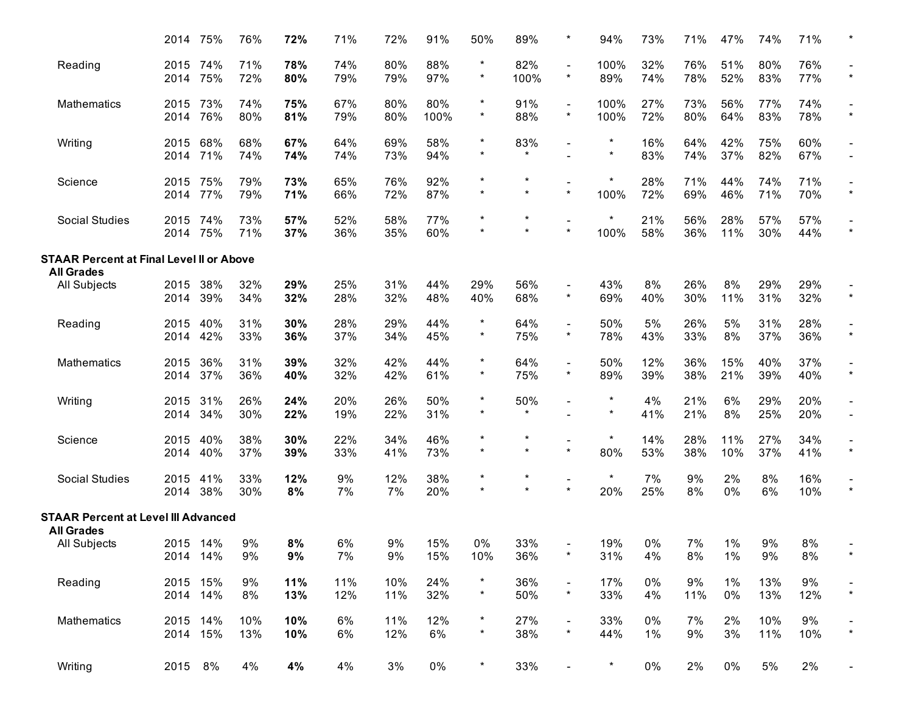|                                                 | 2014         | 75%                  | 76%        | 72%        | 71%        | 72%        | 91%         | 50%                   | 89%                 |                                         | 94%                  | 73%         | 71%        | 47%            | 74%        | 71%        |                          |
|-------------------------------------------------|--------------|----------------------|------------|------------|------------|------------|-------------|-----------------------|---------------------|-----------------------------------------|----------------------|-------------|------------|----------------|------------|------------|--------------------------|
| Reading                                         | 2015<br>2014 | 74%<br>75%           | 71%<br>72% | 78%<br>80% | 74%<br>79% | 80%<br>79% | 88%<br>97%  | *<br>$\star$          | 82%<br>100%         | $\star$                                 | 100%<br>89%          | 32%<br>74%  | 76%<br>78% | 51%<br>52%     | 80%<br>83% | 76%<br>77% | $\star$                  |
| Mathematics                                     | 2015<br>2014 | 73%<br>76%           | 74%<br>80% | 75%<br>81% | 67%<br>79% | 80%<br>80% | 80%<br>100% | $^\star$<br>$\star$   | 91%<br>88%          | $\overline{\phantom{0}}$<br>$\star$     | 100%<br>100%         | 27%<br>72%  | 73%<br>80% | 56%<br>64%     | 77%<br>83% | 74%<br>78% | $\star$                  |
| Writing                                         | 2015<br>2014 | 68%<br>71%           | 68%<br>74% | 67%<br>74% | 64%<br>74% | 69%<br>73% | 58%<br>94%  | $^\star$<br>$\star$   | 83%<br>$\star$      | $\overline{\phantom{a}}$                | $^\star$<br>$^\star$ | 16%<br>83%  | 64%<br>74% | 42%<br>37%     | 75%<br>82% | 60%<br>67% |                          |
| Science                                         | 2015<br>2014 | 75%<br>77%           | 79%<br>79% | 73%<br>71% | 65%<br>66% | 76%<br>72% | 92%<br>87%  | $^\star$<br>$\star$   | $\star$<br>$\star$  | $\star$                                 | *<br>100%            | 28%<br>72%  | 71%<br>69% | 44%<br>46%     | 74%<br>71% | 71%<br>70% | $\star$                  |
| Social Studies                                  | 2015<br>2014 | 74%<br>75%           | 73%<br>71% | 57%<br>37% | 52%<br>36% | 58%<br>35% | 77%<br>60%  | $\star$<br>$\star$    | $\star$             | $\overline{\phantom{a}}$<br>$\star$     | $\star$<br>100%      | 21%<br>58%  | 56%<br>36% | 28%<br>11%     | 57%<br>30% | 57%<br>44% |                          |
| <b>STAAR Percent at Final Level II or Above</b> |              |                      |            |            |            |            |             |                       |                     |                                         |                      |             |            |                |            |            |                          |
| <b>All Grades</b><br><b>All Subjects</b>        | 2015<br>2014 | 38%<br>39%           | 32%<br>34% | 29%<br>32% | 25%<br>28% | 31%<br>32% | 44%<br>48%  | 29%<br>40%            | 56%<br>68%          | $\overline{\phantom{a}}$<br>$\star$     | 43%<br>69%           | 8%<br>40%   | 26%<br>30% | 8%<br>11%      | 29%<br>31% | 29%<br>32% | $\star$                  |
| Reading                                         | 2015<br>2014 | 40%<br>42%           | 31%<br>33% | 30%<br>36% | 28%<br>37% | 29%<br>34% | 44%<br>45%  | $^\star$<br>$^\star$  | 64%<br>75%          | $\overline{\phantom{a}}$<br>$\star$     | 50%<br>78%           | 5%<br>43%   | 26%<br>33% | 5%<br>8%       | 31%<br>37% | 28%<br>36% | $\star$                  |
| Mathematics                                     | 2015<br>2014 | 36%<br>37%           | 31%<br>36% | 39%<br>40% | 32%<br>32% | 42%<br>42% | 44%<br>61%  | $\star$<br>$^{\star}$ | 64%<br>75%          | $\overline{\phantom{a}}$<br>$\star$     | 50%<br>89%           | 12%<br>39%  | 36%<br>38% | 15%<br>21%     | 40%<br>39% | 37%<br>40% | $\star$                  |
| Writing                                         | 2015<br>2014 | 31%<br>34%           | 26%<br>30% | 24%<br>22% | 20%<br>19% | 26%<br>22% | 50%<br>31%  | $^\star$<br>$\star$   | 50%<br>$\star$      | $\overline{\phantom{a}}$                | $^\star$<br>$\star$  | 4%<br>41%   | 21%<br>21% | 6%<br>8%       | 29%<br>25% | 20%<br>20% | $\overline{\phantom{0}}$ |
| Science                                         | 2015<br>2014 | 40%<br>40%           | 38%<br>37% | 30%<br>39% | 22%<br>33% | 34%<br>41% | 46%<br>73%  | $\star$<br>$^\star$   | $^\star$<br>$\star$ | $\star$                                 | $\ast$<br>80%        | 14%<br>53%  | 28%<br>38% | 11%<br>10%     | 27%<br>37% | 34%<br>41% | $\star$                  |
| <b>Social Studies</b>                           | 2015<br>2014 | 41%<br>38%           | 33%<br>30% | 12%<br>8%  | 9%<br>7%   | 12%<br>7%  | 38%<br>20%  | $\star$<br>$\star$    | $^\star$<br>$\star$ | $\overline{\phantom{a}}$<br>$\star$     | $\star$<br>20%       | 7%<br>25%   | 9%<br>8%   | 2%<br>0%       | 8%<br>6%   | 16%<br>10% | $\star$                  |
| <b>STAAR Percent at Level III Advanced</b>      |              |                      |            |            |            |            |             |                       |                     |                                         |                      |             |            |                |            |            |                          |
| <b>All Grades</b><br>All Subjects               |              | 2015 14%<br>2014 14% | 9%<br>9%   | 8%<br>9%   | 6%<br>7%   | 9%<br>9%   | 15%<br>15%  | 0%<br>10%             | 33%<br>36%          | $\star$                                 | 19%<br>31%           | 0%<br>4%    | 7%<br>8%   | 1%<br>1%       | 9%<br>9%   | 8%<br>8%   | $\star$                  |
| Reading                                         |              | 2015 15%<br>2014 14% | 9%<br>8%   | 11%<br>13% | 11%<br>12% | 10%<br>11% | 24%<br>32%  | $\star$<br>$\star$    | 36%<br>50%          | $\overline{\phantom{a}}$<br>$\star$     | 17%<br>33%           | $0\%$<br>4% | 9%<br>11%  | $1\%$<br>$0\%$ | 13%<br>13% | 9%<br>12%  | $\star$                  |
| Mathematics                                     |              | 2015 14%<br>2014 15% | 10%<br>13% | 10%<br>10% | 6%<br>6%   | 11%<br>12% | 12%<br>6%   | $\ast$<br>$\star$     | 27%<br>38%          | $\qquad \qquad \blacksquare$<br>$\star$ | 33%<br>44%           | $0\%$<br>1% | 7%<br>9%   | 2%<br>3%       | 10%<br>11% | 9%<br>10%  | $\star$                  |
| Writing                                         |              | 2015 8%              | 4%         | 4%         | 4%         | 3%         | $0\%$       | $\star$               | 33%                 | $\overline{\phantom{a}}$                | $^\star$             | $0\%$       | 2%         | $0\%$          | $5%$       | 2%         |                          |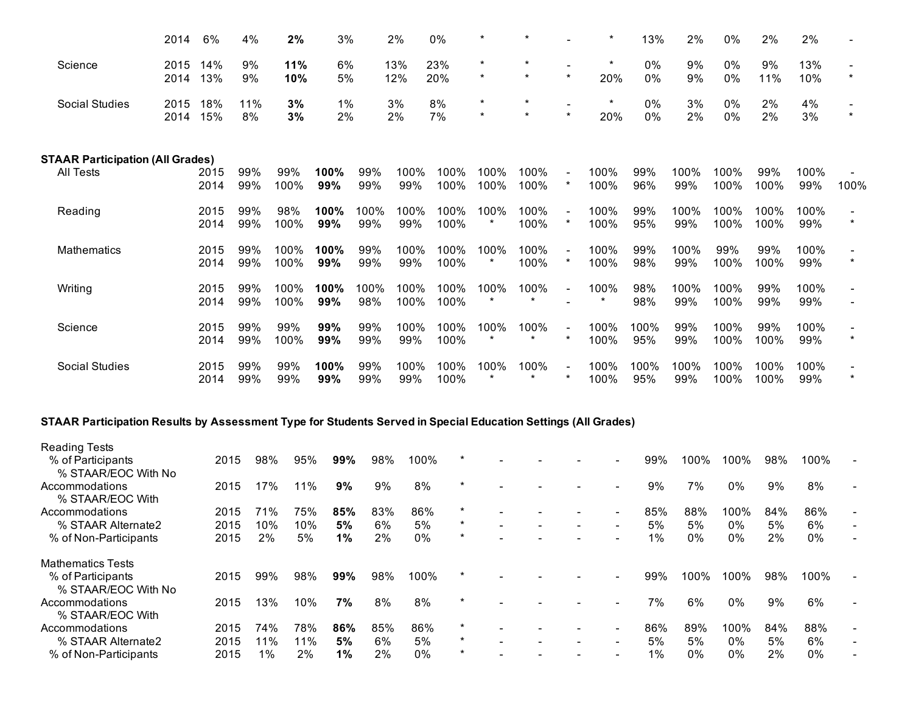|                                         | 2014         | 6%           | 4%         | 2%           | 3%          |             | 2%           | 0%           |                    |                    |         | $\star$        | 13%         | 2%          | 0%           | 2%           | 2%          |      |
|-----------------------------------------|--------------|--------------|------------|--------------|-------------|-------------|--------------|--------------|--------------------|--------------------|---------|----------------|-------------|-------------|--------------|--------------|-------------|------|
| Science                                 | 2015<br>2014 | 14%<br>13%   | 9%<br>9%   | 11%<br>10%   | 6%<br>5%    |             | 13%<br>12%   | 23%<br>20%   | $\star$<br>$\star$ | $\star$<br>$\star$ | $\star$ | $\star$<br>20% | 0%<br>0%    | 9%<br>9%    | 0%<br>0%     | 9%<br>11%    | 13%<br>10%  |      |
| Social Studies                          | 2015<br>2014 | 18%<br>15%   | 11%<br>8%  | 3%<br>3%     | $1\%$<br>2% |             | 3%<br>2%     | 8%<br>7%     | $\star$<br>$\star$ | *<br>$\star$       | $\star$ | $\star$<br>20% | 0%<br>0%    | 3%<br>2%    | 0%<br>0%     | 2%<br>2%     | 4%<br>3%    |      |
| <b>STAAR Participation (All Grades)</b> |              |              |            |              |             |             |              |              |                    |                    |         |                |             |             |              |              |             |      |
| <b>All Tests</b>                        |              | 2015<br>2014 | 99%<br>99% | 99%<br>100%  | 100%<br>99% | 99%<br>99%  | 100%<br>99%  | 100%<br>100% | 100%<br>100%       | 100%<br>100%       | $\star$ | 100%<br>100%   | 99%<br>96%  | 100%<br>99% | 100%<br>100% | 99%<br>100%  | 100%<br>99% | 100% |
| Reading                                 |              | 2015<br>2014 | 99%<br>99% | 98%<br>100%  | 100%<br>99% | 100%<br>99% | 100%<br>99%  | 100%<br>100% | 100%<br>$\star$    | 100%<br>100%       |         | 100%<br>100%   | 99%<br>95%  | 100%<br>99% | 100%<br>100% | 100%<br>100% | 100%<br>99% |      |
| Mathematics                             |              | 2015<br>2014 | 99%<br>99% | 100%<br>100% | 100%<br>99% | 99%<br>99%  | 100%<br>99%  | 100%<br>100% | 100%<br>$\star$    | 100%<br>100%       | $\star$ | 100%<br>100%   | 99%<br>98%  | 100%<br>99% | 99%<br>100%  | 99%<br>100%  | 100%<br>99% |      |
| Writing                                 |              | 2015<br>2014 | 99%<br>99% | 100%<br>100% | 100%<br>99% | 100%<br>98% | 100%<br>100% | 100%<br>100% | 100%<br>$\star$    | 100%<br>$^\star$   |         | 100%           | 98%<br>98%  | 100%<br>99% | 100%<br>100% | 99%<br>99%   | 100%<br>99% |      |
| Science                                 |              | 2015<br>2014 | 99%<br>99% | 99%<br>100%  | 99%<br>99%  | 99%<br>99%  | 100%<br>99%  | 100%<br>100% | 100%<br>$\star$    | 100%<br>$\star$    | $\star$ | 100%<br>100%   | 100%<br>95% | 99%<br>99%  | 100%<br>100% | 99%<br>100%  | 100%<br>99% |      |
| <b>Social Studies</b>                   |              | 2015<br>2014 | 99%<br>99% | 99%<br>99%   | 100%<br>99% | 99%<br>99%  | 100%<br>99%  | 100%<br>100% | 100%<br>$\star$    | 100%<br>$\star$    |         | 100%<br>100%   | 100%<br>95% | 100%<br>99% | 100%<br>100% | 100%<br>100% | 100%<br>99% |      |

#### STAAR Participation Results by Assessment Type for Students Served in Special Education Settings (All Grades)

| <b>Reading Tests</b>     |      |     |     |       |     |       |         |                          |  |                          |       |       |      |     |      |  |
|--------------------------|------|-----|-----|-------|-----|-------|---------|--------------------------|--|--------------------------|-------|-------|------|-----|------|--|
| % of Participants        | 2015 | 98% | 95% | 99%   | 98% | 100%  | $\star$ |                          |  |                          | 99%   | 100%  | 100% | 98% | 100% |  |
| % STAAR/EOC With No      |      |     |     |       |     |       |         |                          |  |                          |       |       |      |     |      |  |
| Accommodations           | 2015 | 17% | 11% | 9%    | 9%  | 8%    | $\star$ |                          |  |                          | 9%    | 7%    | 0%   | 9%  | 8%   |  |
| % STAAR/EOC With         |      |     |     |       |     |       |         |                          |  |                          |       |       |      |     |      |  |
| Accommodations           | 2015 | 71% | 75% | 85%   | 83% | 86%   | $\star$ |                          |  |                          | 85%   | 88%   | 100% | 84% | 86%  |  |
| % STAAR Alternate2       | 2015 | 10% | 10% | 5%    | 6%  | 5%    | $\star$ | $\overline{\phantom{0}}$ |  | $\overline{\phantom{a}}$ | 5%    | 5%    | 0%   | 5%  | 6%   |  |
| % of Non-Participants    | 2015 | 2%  | 5%  | $1\%$ | 2%  | $0\%$ | $\star$ |                          |  |                          | $1\%$ | $0\%$ | 0%   | 2%  | 0%   |  |
| <b>Mathematics Tests</b> |      |     |     |       |     |       |         |                          |  |                          |       |       |      |     |      |  |
| % of Participants        | 2015 | 99% | 98% | 99%   | 98% | 100%  | $\star$ |                          |  |                          | 99%   | 100%  | 100% | 98% | 100% |  |
| % STAAR/EOC With No      |      |     |     |       |     |       |         |                          |  |                          |       |       |      |     |      |  |
| Accommodations           | 2015 | 13% | 10% | 7%    | 8%  | 8%    | $\star$ |                          |  |                          | 7%    | 6%    | 0%   | 9%  | 6%   |  |
| % STAAR/EOC With         |      |     |     |       |     |       |         |                          |  |                          |       |       |      |     |      |  |
| Accommodations           | 2015 | 74% | 78% | 86%   | 85% | 86%   | $\ast$  |                          |  |                          | 86%   | 89%   | 100% | 84% | 88%  |  |
| % STAAR Alternate2       | 2015 | 11% | 11% | 5%    | 6%  | 5%    | $\star$ |                          |  | $\overline{\phantom{a}}$ | 5%    | 5%    | 0%   | 5%  | 6%   |  |
| % of Non-Participants    | 2015 | 1%  | 2%  | 1%    | 2%  | 0%    | $\star$ |                          |  |                          | $1\%$ | $0\%$ | 0%   | 2%  | 0%   |  |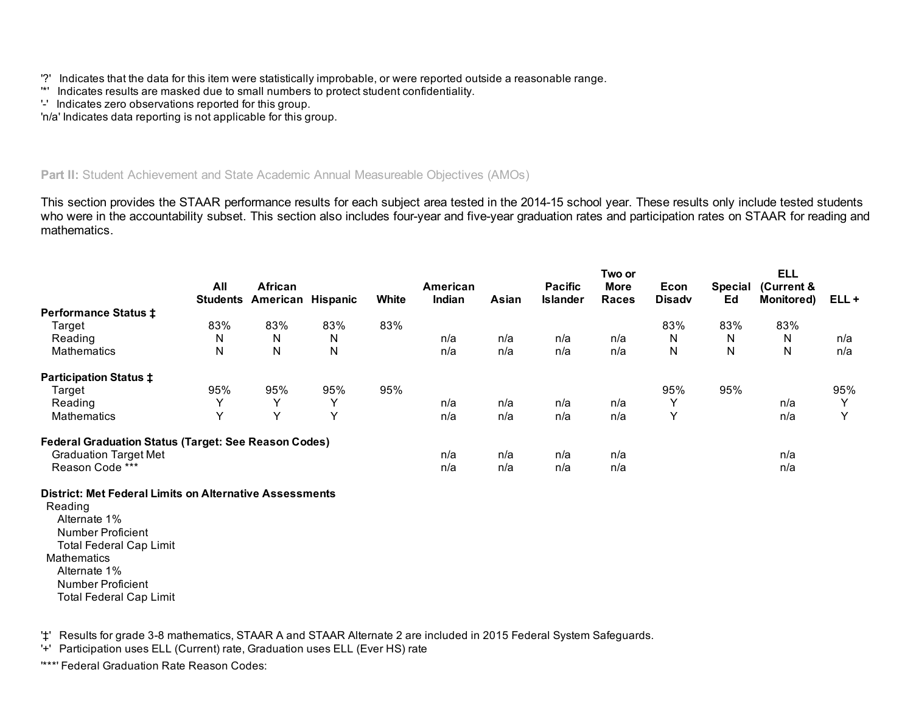- '?' Indicates that the data for this item were statistically improbable, or were reported outside a reasonable range.
- '\*' Indicates results are masked due to small numbers to protect student confidentiality.
- '' Indicates zero observations reported for this group.

'n/a' Indicates data reporting is not applicable for this group.

# Part II: Student Achievement and State Academic Annual Measureable Objectives (AMOs)

This section provides the STAAR performance results for each subject area tested in the 2014-15 school year. These results only include tested students who were in the accountability subset. This section also includes four-year and five-year graduation rates and participation rates on STAAR for reading and mathematics.

|                                                             |                        |                     |                 |       |                    |       |                                   | Two or                      |                       |                      | <b>ELL</b>                      |              |
|-------------------------------------------------------------|------------------------|---------------------|-----------------|-------|--------------------|-------|-----------------------------------|-----------------------------|-----------------------|----------------------|---------------------------------|--------------|
|                                                             | All<br><b>Students</b> | African<br>American | <b>Hispanic</b> | White | American<br>Indian | Asian | <b>Pacific</b><br><b>Islander</b> | <b>More</b><br><b>Races</b> | Econ<br><b>Disadv</b> | <b>Special</b><br>Ed | (Current &<br><b>Monitored)</b> | ELL+         |
| <b>Performance Status ‡</b>                                 |                        |                     |                 |       |                    |       |                                   |                             |                       |                      |                                 |              |
| Target                                                      | 83%                    | 83%                 | 83%             | 83%   |                    |       |                                   |                             | 83%                   | 83%                  | 83%                             |              |
| Reading                                                     | N                      | N                   | N               |       | n/a                | n/a   | n/a                               | n/a                         | N                     | N                    | N                               | n/a          |
| Mathematics                                                 | ${\sf N}$              | N                   | N               |       | n/a                | n/a   | n/a                               | n/a                         | N                     | N                    | N                               | n/a          |
| <b>Participation Status ‡</b>                               |                        |                     |                 |       |                    |       |                                   |                             |                       |                      |                                 |              |
| Target                                                      | 95%                    | 95%                 | 95%             | 95%   |                    |       |                                   |                             | 95%                   | 95%                  |                                 | 95%          |
| Reading                                                     | $\checkmark$           | $\checkmark$        | $\checkmark$    |       | n/a                | n/a   | n/a                               | n/a                         | $\checkmark$          |                      | n/a                             | $\checkmark$ |
| Mathematics                                                 | Y                      | $\checkmark$        | Y               |       | n/a                | n/a   | n/a                               | n/a                         | $\checkmark$          |                      | n/a                             | $\checkmark$ |
| <b>Federal Graduation Status (Target: See Reason Codes)</b> |                        |                     |                 |       |                    |       |                                   |                             |                       |                      |                                 |              |
| <b>Graduation Target Met</b>                                |                        |                     |                 |       | n/a                | n/a   | n/a                               | n/a                         |                       |                      | n/a                             |              |
| Reason Code ***                                             |                        |                     |                 |       | n/a                | n/a   | n/a                               | n/a                         |                       |                      | n/a                             |              |
|                                                             |                        |                     |                 |       |                    |       |                                   |                             |                       |                      |                                 |              |

## District: Met Federal Limits on Alternative Assessments

 Total Federal Cap Limit Total Federal Cap Limit Reading Alternate 1% Number Proficient **Mathematics** Alternate 1% Number Proficient

'‡' Results for grade 38 mathematics, STAAR A and STAAR Alternate 2 are included in 2015 Federal System Safeguards.

'+' Participation uses ELL (Current) rate, Graduation uses ELL (Ever HS) rate

'\*\*\*' Federal Graduation Rate Reason Codes: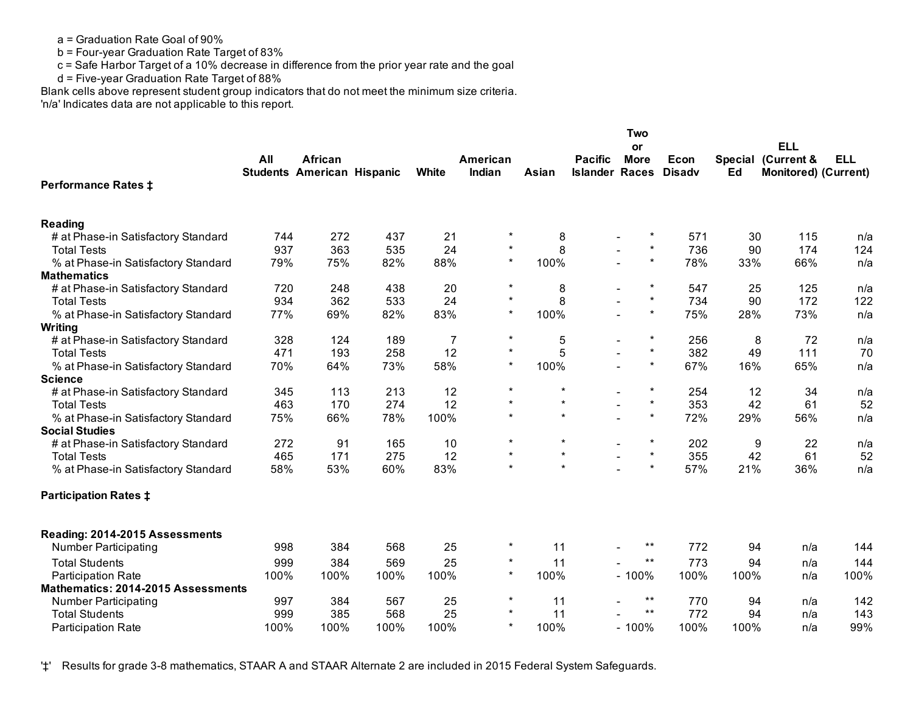a = Graduation Rate Goal of 90%

b = Four-year Graduation Rate Target of 83%

c = Safe Harbor Target of a 10% decrease in difference from the prior year rate and the goal

d = Five-year Graduation Rate Target of 88%

Blank cells above represent student group indicators that do not meet the minimum size criteria.

'n/a' Indicates data are not applicable to this report.

|                                           |      |                                                     |      |              |                    |         |                                   | Two                               |                       |      |                                                                 |            |
|-------------------------------------------|------|-----------------------------------------------------|------|--------------|--------------------|---------|-----------------------------------|-----------------------------------|-----------------------|------|-----------------------------------------------------------------|------------|
|                                           | All  | <b>African</b><br><b>Students American Hispanic</b> |      | <b>White</b> | American<br>Indian | Asian   | <b>Pacific</b><br><b>Islander</b> | or<br><b>More</b><br><b>Races</b> | Econ<br><b>Disadv</b> | Ed   | <b>ELL</b><br>Special (Current &<br><b>Monitored) (Current)</b> | <b>ELL</b> |
| <b>Performance Rates ‡</b>                |      |                                                     |      |              |                    |         |                                   |                                   |                       |      |                                                                 |            |
| <b>Reading</b>                            |      |                                                     |      |              |                    |         |                                   |                                   |                       |      |                                                                 |            |
| # at Phase-in Satisfactory Standard       | 744  | 272                                                 | 437  | 21           | $\star$            | 8       |                                   |                                   | 571                   | 30   | 115                                                             | n/a        |
| <b>Total Tests</b>                        | 937  | 363                                                 | 535  | 24           | $\star$            | 8       |                                   | $\star$                           | 736                   | 90   | 174                                                             | 124        |
| % at Phase-in Satisfactory Standard       | 79%  | 75%                                                 | 82%  | 88%          | $\star$            | 100%    |                                   | $\star$                           | 78%                   | 33%  | 66%                                                             | n/a        |
| <b>Mathematics</b>                        |      |                                                     |      |              |                    |         |                                   |                                   |                       |      |                                                                 |            |
| # at Phase-in Satisfactory Standard       | 720  | 248                                                 | 438  | 20           | $\star$            | 8       |                                   | $\star$                           | 547                   | 25   | 125                                                             | n/a        |
| <b>Total Tests</b>                        | 934  | 362                                                 | 533  | 24           |                    | 8       |                                   | $^\star$                          | 734                   | 90   | 172                                                             | 122        |
| % at Phase-in Satisfactory Standard       | 77%  | 69%                                                 | 82%  | 83%          | $\star$            | 100%    |                                   | $\star$                           | 75%                   | 28%  | 73%                                                             | n/a        |
| Writing                                   |      |                                                     |      |              |                    |         |                                   |                                   |                       |      |                                                                 |            |
| # at Phase-in Satisfactory Standard       | 328  | 124                                                 | 189  | 7            | $\star$            | 5       |                                   | $\star$                           | 256                   | 8    | 72                                                              | n/a        |
| <b>Total Tests</b>                        | 471  | 193                                                 | 258  | 12           | $\star$            | 5       |                                   | $\star$                           | 382                   | 49   | 111                                                             | 70         |
| % at Phase-in Satisfactory Standard       | 70%  | 64%                                                 | 73%  | 58%          | $\star$            | 100%    |                                   | $\star$                           | 67%                   | 16%  | 65%                                                             | n/a        |
| <b>Science</b>                            |      |                                                     |      |              |                    | $\star$ |                                   |                                   |                       |      |                                                                 |            |
| # at Phase-in Satisfactory Standard       | 345  | 113                                                 | 213  | 12           | $\star$            | $\star$ |                                   | $\star$<br>$\star$                | 254                   | 12   | 34                                                              | n/a        |
| <b>Total Tests</b>                        | 463  | 170                                                 | 274  | 12           | $\star$<br>$\star$ | $\star$ |                                   | $\star$                           | 353                   | 42   | 61                                                              | 52         |
| % at Phase-in Satisfactory Standard       | 75%  | 66%                                                 | 78%  | 100%         |                    |         |                                   |                                   | 72%                   | 29%  | 56%                                                             | n/a        |
| <b>Social Studies</b>                     |      |                                                     |      |              | $\star$            | $\star$ |                                   | $\star$                           |                       |      |                                                                 |            |
| # at Phase-in Satisfactory Standard       | 272  | 91                                                  | 165  | 10           |                    | $\star$ |                                   | $\star$                           | 202                   | 9    | 22                                                              | n/a        |
| <b>Total Tests</b>                        | 465  | 171                                                 | 275  | 12           | $\star$            | $\star$ |                                   | $\star$                           | 355                   | 42   | 61                                                              | 52         |
| % at Phase-in Satisfactory Standard       | 58%  | 53%                                                 | 60%  | 83%          |                    |         |                                   |                                   | 57%                   | 21%  | 36%                                                             | n/a        |
| <b>Participation Rates ‡</b>              |      |                                                     |      |              |                    |         |                                   |                                   |                       |      |                                                                 |            |
| Reading: 2014-2015 Assessments            |      |                                                     |      |              |                    |         |                                   |                                   |                       |      |                                                                 |            |
| <b>Number Participating</b>               | 998  | 384                                                 | 568  | 25           | $\star$            | 11      |                                   | $***$                             | 772                   | 94   | n/a                                                             | 144        |
| <b>Total Students</b>                     | 999  | 384                                                 | 569  | 25           | $\star$            | 11      |                                   | $***$                             | 773                   | 94   | n/a                                                             | 144        |
| <b>Participation Rate</b>                 | 100% | 100%                                                | 100% | 100%         | $\star$            | 100%    |                                   | $-100%$                           | 100%                  | 100% | n/a                                                             | 100%       |
| <b>Mathematics: 2014-2015 Assessments</b> |      |                                                     |      |              |                    |         |                                   |                                   |                       |      |                                                                 |            |
| Number Participating                      | 997  | 384                                                 | 567  | 25           | $\star$            | 11      |                                   | $***$                             | 770                   | 94   | n/a                                                             | 142        |
| <b>Total Students</b>                     | 999  | 385                                                 | 568  | 25           | $\star$            | 11      |                                   | $***$                             | 772                   | 94   | n/a                                                             | 143        |
| <b>Participation Rate</b>                 | 100% | 100%                                                | 100% | 100%         | $\star$            | 100%    |                                   | $-100%$                           | 100%                  | 100% | n/a                                                             | 99%        |

'‡' Results for grade 3-8 mathematics, STAAR A and STAAR Alternate 2 are included in 2015 Federal System Safeguards.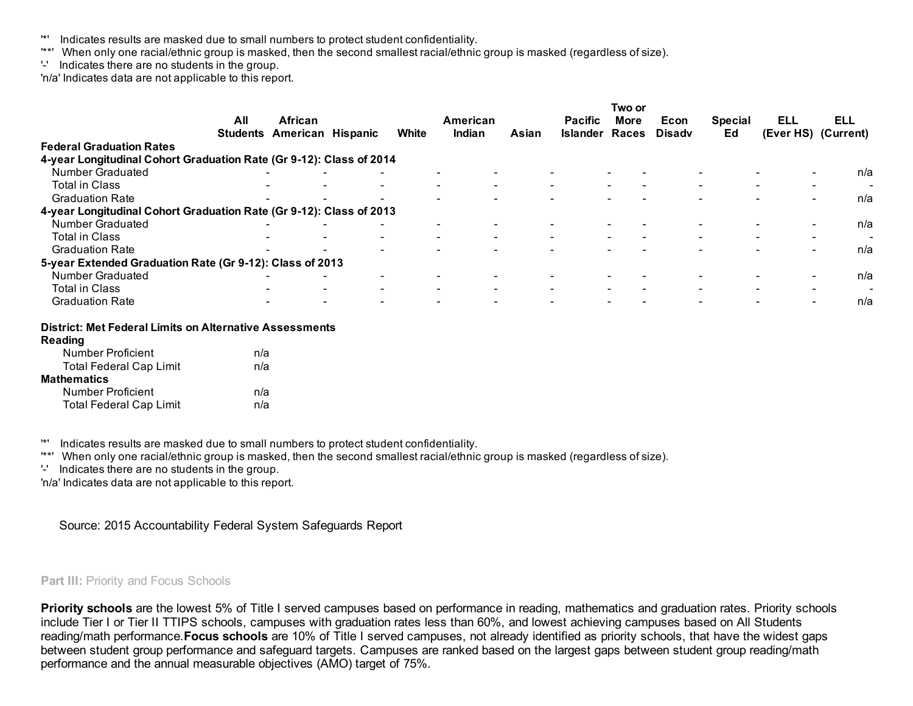- '\*' Indicates results are masked due to small numbers to protect student confidentiality.
- '\*\*' When only one racial/ethnic group is masked, then the second smallest racial/ethnic group is masked (regardless of size).
- '' Indicates there are no students in the group.

'n/a' Indicates data are not applicable to this report.

|                                                                     | All                      | African                  |                          |       | American |       | <b>Pacific</b>  | Two or<br><b>More</b>    | Econ          | <b>Special</b>           | ELL                                                  | <b>ELL</b>               |
|---------------------------------------------------------------------|--------------------------|--------------------------|--------------------------|-------|----------|-------|-----------------|--------------------------|---------------|--------------------------|------------------------------------------------------|--------------------------|
|                                                                     | <b>Students</b>          | American                 | Hispanic                 | White | Indian   | Asian | <b>Islander</b> | <b>Races</b>             | <b>Disady</b> | Ed                       |                                                      | (Ever HS) (Current)      |
| <b>Federal Graduation Rates</b>                                     |                          |                          |                          |       |          |       |                 |                          |               |                          |                                                      |                          |
| 4-year Longitudinal Cohort Graduation Rate (Gr 9-12): Class of 2014 |                          |                          |                          |       |          |       |                 |                          |               |                          |                                                      |                          |
| Number Graduated                                                    |                          |                          |                          |       |          |       |                 |                          |               |                          | $\overline{\phantom{0}}$                             | n/a                      |
| <b>Total in Class</b>                                               |                          |                          |                          |       |          |       |                 |                          |               |                          | $\overline{\phantom{0}}$                             |                          |
| <b>Graduation Rate</b>                                              |                          | $\overline{\phantom{0}}$ |                          |       |          |       |                 |                          |               | $\overline{\phantom{0}}$ | $\sim$                                               | n/a                      |
| 4-year Longitudinal Cohort Graduation Rate (Gr 9-12): Class of 2013 |                          |                          |                          |       |          |       |                 |                          |               |                          |                                                      |                          |
| Number Graduated                                                    |                          |                          |                          |       |          |       |                 |                          |               |                          | $\overline{\phantom{0}}$                             | n/a                      |
| <b>Total in Class</b>                                               | $\overline{\phantom{a}}$ |                          | $\overline{\phantom{0}}$ |       |          |       |                 | $\overline{\phantom{0}}$ |               | $\overline{\phantom{0}}$ | $\overline{\phantom{0}}$<br>$\overline{\phantom{0}}$ | $\overline{\phantom{0}}$ |
| <b>Graduation Rate</b>                                              |                          |                          |                          |       |          |       |                 |                          |               |                          | $\overline{\phantom{0}}$                             | n/a                      |
| 5-year Extended Graduation Rate (Gr 9-12): Class of 2013            |                          |                          |                          |       |          |       |                 |                          |               |                          |                                                      |                          |
| <b>Number Graduated</b>                                             |                          |                          |                          |       |          |       |                 |                          |               |                          | $\overline{\phantom{0}}$                             | n/a                      |
| <b>Total in Class</b>                                               |                          |                          |                          |       |          |       |                 |                          |               | $\overline{\phantom{0}}$ | $\overline{\phantom{0}}$                             | $\overline{\phantom{0}}$ |
| <b>Graduation Rate</b>                                              |                          |                          |                          |       |          |       |                 |                          |               |                          |                                                      | n/a                      |
|                                                                     |                          |                          |                          |       |          |       |                 |                          |               |                          |                                                      |                          |

#### District: Met Federal Limits on Alternative Assessments

| <b>Reading</b>                 |     |
|--------------------------------|-----|
| <b>Number Proficient</b>       | n/a |
| <b>Total Federal Cap Limit</b> | n/a |
| <b>Mathematics</b>             |     |
| Number Proficient              | n/a |
| <b>Total Federal Cap Limit</b> | n/a |

'\*' Indicates results are masked due to small numbers to protect student confidentiality.

'\*\*' When only one racial/ethnic group is masked, then the second smallest racial/ethnic group is masked (regardless of size).

'' Indicates there are no students in the group.

'n/a' Indicates data are not applicable to this report.

Source: 2015 Accountability Federal System Safeguards Report

### Part III: Priority and Focus Schools

Priority schools are the lowest 5% of Title I served campuses based on performance in reading, mathematics and graduation rates. Priority schools include Tier I or Tier II TTIPS schools, campuses with graduation rates less than 60%, and lowest achieving campuses based on All Students reading/math performance.Focus schools are 10% of Title I served campuses, not already identified as priority schools, that have the widest gaps between student group performance and safeguard targets. Campuses are ranked based on the largest gaps between student group reading/math performance and the annual measurable objectives (AMO) target of 75%.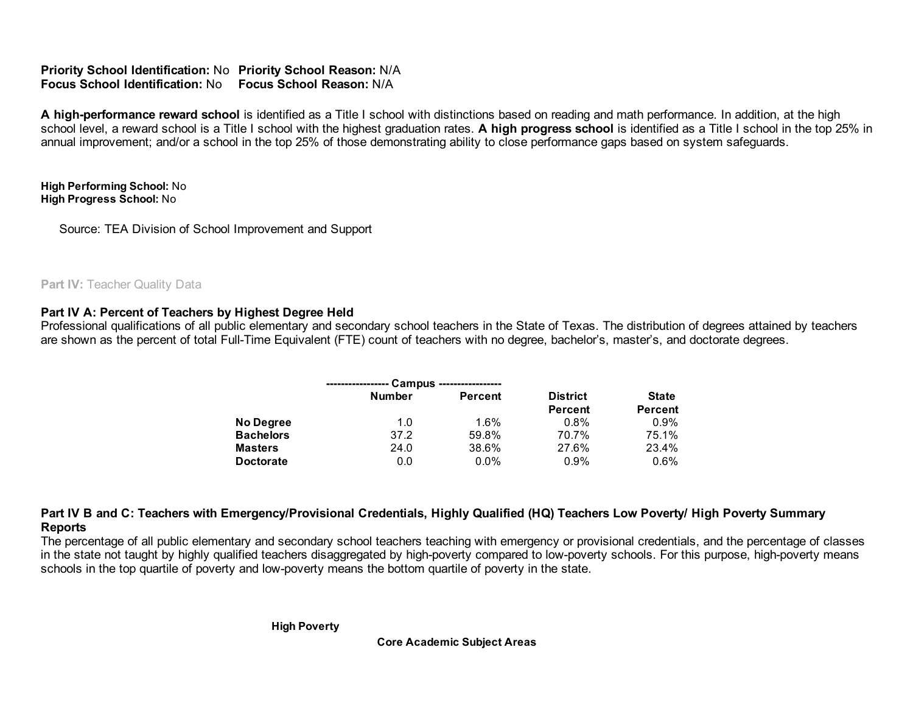Priority School Identification: No Priority School Reason: N/A Focus School Identification: No Focus School Reason: N/A

A high-performance reward school is identified as a Title I school with distinctions based on reading and math performance. In addition, at the high school level, a reward school is a Title I school with the highest graduation rates. A high progress school is identified as a Title I school in the top 25% in annual improvement; and/or a school in the top 25% of those demonstrating ability to close performance gaps based on system safeguards.

 High Performing School: No High Progress School: No

Source: TEA Division of School Improvement and Support

# Part IV: Teacher Quality Data

# Part IV A: Percent of Teachers by Highest Degree Held

 Professional qualifications of all public elementary and secondary school teachers in the State of Texas. The distribution of degrees attained by teachers are shown as the percent of total Full-Time Equivalent (FTE) count of teachers with no degree, bachelor's, master's, and doctorate degrees.

|                  |               | Campus ----------------- |                 |                |
|------------------|---------------|--------------------------|-----------------|----------------|
|                  | <b>Number</b> | <b>Percent</b>           | <b>District</b> | <b>State</b>   |
|                  |               |                          | <b>Percent</b>  | <b>Percent</b> |
| <b>No Degree</b> | 1.0           | 1.6%                     | $0.8\%$         | 0.9%           |
| <b>Bachelors</b> | 37.2          | 59.8%                    | 70.7%           | 75.1%          |
| <b>Masters</b>   | 24.0          | 38.6%                    | 27.6%           | 23.4%          |
| <b>Doctorate</b> | 0.0           | $0.0\%$                  | 0.9%            | 0.6%           |

 Part IV B and C: Teachers with Emergency/Provisional Credentials, Highly Qualified (HQ) Teachers Low Poverty/ High Poverty Summary Reports

 The percentage of all public elementary and secondary school teachers teaching with emergency or provisional credentials, and the percentage of classes in the state not taught by highly qualified teachers disaggregated by high-poverty compared to low-poverty schools. For this purpose, high-poverty means schools in the top quartile of poverty and low-poverty means the bottom quartile of poverty in the state.

High Poverty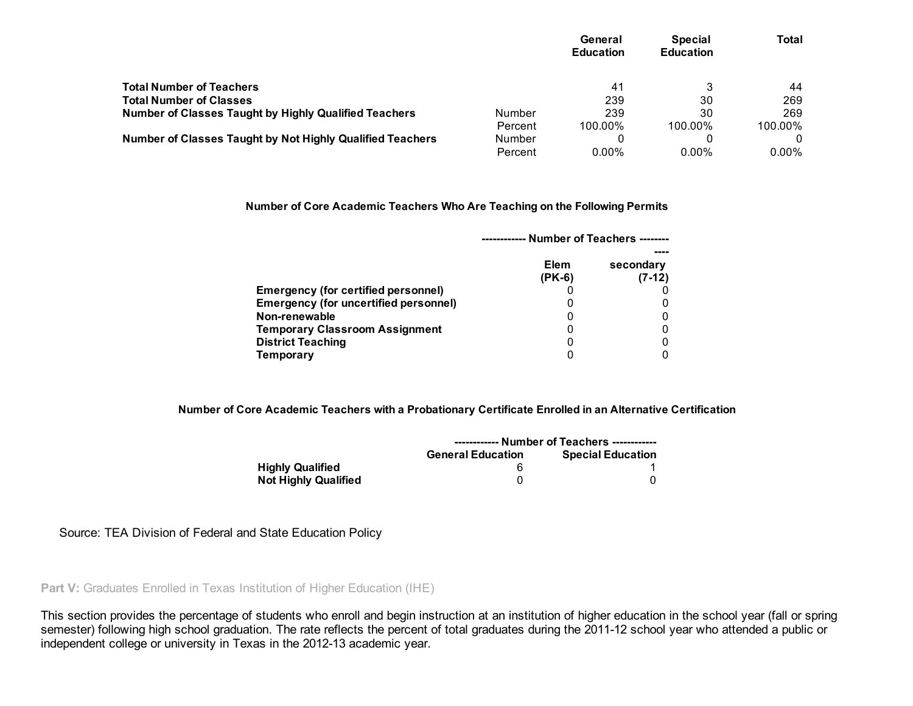|                                                              |         | General<br><b>Education</b> | <b>Special</b><br><b>Education</b> | Total    |
|--------------------------------------------------------------|---------|-----------------------------|------------------------------------|----------|
| <b>Total Number of Teachers</b>                              |         | 41                          | 3                                  | 44       |
| <b>Total Number of Classes</b>                               |         | 239                         | 30                                 | 269      |
| <b>Number of Classes Taught by Highly Qualified Teachers</b> | Number  | 239                         | 30                                 | 269      |
|                                                              | Percent | 100.00%                     | 100.00%                            | 100.00%  |
| Number of Classes Taught by Not Highly Qualified Teachers    | Number  |                             | 0                                  |          |
|                                                              | Percent | $0.00\%$                    | $0.00\%$                           | $0.00\%$ |

### Number of Core Academic Teachers Who Are Teaching on the Following Permits

|                                              |                         | Number of Teachers -------- |
|----------------------------------------------|-------------------------|-----------------------------|
|                                              | <b>Elem</b><br>$(PK-6)$ | secondary<br>$(7-12)$       |
| Emergency (for certified personnel)          |                         |                             |
| <b>Emergency (for uncertified personnel)</b> | 0                       |                             |
| Non-renewable                                |                         |                             |
| <b>Temporary Classroom Assignment</b>        | 0                       |                             |
| <b>District Teaching</b>                     | 0                       |                             |
| Temporary                                    | 0                       |                             |

Number of Core Academic Teachers with a Probationary Certificate Enrolled in an Alternative Certification

|                             | ----------- Number of Teachers ------------ |                          |  |  |  |  |
|-----------------------------|---------------------------------------------|--------------------------|--|--|--|--|
|                             | <b>General Education</b>                    | <b>Special Education</b> |  |  |  |  |
| <b>Highly Qualified</b>     |                                             |                          |  |  |  |  |
| <b>Not Highly Qualified</b> |                                             |                          |  |  |  |  |

Source: TEA Division of Federal and State Education Policy

Part V: Graduates Enrolled in Texas Institution of Higher Education (IHE)

 This section provides the percentage of students who enroll and begin instruction at an institution of higher education in the school year (fall or spring semester) following high school graduation. The rate reflects the percent of total graduates during the 2011-12 school year who attended a public or independent college or university in Texas in the 2012-13 academic year.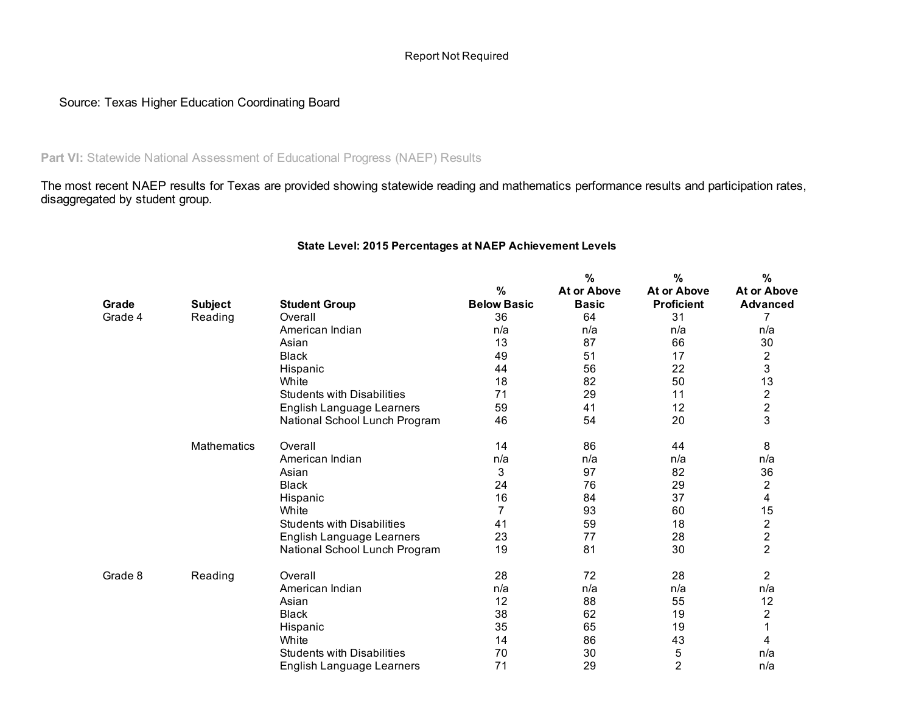## Report Not Required

# Source: Texas Higher Education Coordinating Board

Part VI: Statewide National Assessment of Educational Progress (NAEP) Results

 The most recent NAEP results for Texas are provided showing statewide reading and mathematics performance results and participation rates, disaggregated by student group.

|         |                |                                   |                    | %                  | %                  | %                       |
|---------|----------------|-----------------------------------|--------------------|--------------------|--------------------|-------------------------|
|         |                |                                   | %                  | <b>At or Above</b> | <b>At or Above</b> | <b>At or Above</b>      |
| Grade   | <b>Subject</b> | <b>Student Group</b>              | <b>Below Basic</b> | <b>Basic</b>       | <b>Proficient</b>  | <b>Advanced</b>         |
| Grade 4 | Reading        | Overall                           | 36                 | 64                 | 31                 | 7                       |
|         |                | American Indian                   | n/a                | n/a                | n/a                | n/a                     |
|         |                | Asian                             | 13                 | 87                 | 66                 | 30                      |
|         |                | <b>Black</b>                      | 49                 | 51                 | 17                 | 2                       |
|         |                | Hispanic                          | 44                 | 56                 | 22                 | 3                       |
|         |                | White                             | 18                 | 82                 | 50                 | 13                      |
|         |                | <b>Students with Disabilities</b> | 71                 | 29                 | 11                 | $\overline{2}$          |
|         |                | English Language Learners         | 59                 | 41                 | 12                 | $\overline{c}$          |
|         |                | National School Lunch Program     | 46                 | 54                 | 20                 | 3                       |
|         | Mathematics    | Overall                           | 14                 | 86                 | 44                 | 8                       |
|         |                | American Indian                   | n/a                | n/a                | n/a                | n/a                     |
|         |                | Asian                             | 3                  | 97                 | 82                 | 36                      |
|         |                | <b>Black</b>                      | 24                 | 76                 | 29                 | $\overline{\mathbf{c}}$ |
|         |                | Hispanic                          | 16                 | 84                 | 37                 | 4                       |
|         |                | White                             | 7                  | 93                 | 60                 | 15                      |
|         |                | <b>Students with Disabilities</b> | 41                 | 59                 | 18                 | $\mathbf 2$             |
|         |                | English Language Learners         | 23                 | 77                 | 28                 | $\overline{\mathbf{c}}$ |
|         |                | National School Lunch Program     | 19                 | 81                 | 30                 | $\overline{2}$          |
| Grade 8 | Reading        | Overall                           | 28                 | 72                 | 28                 | $\overline{2}$          |
|         |                | American Indian                   | n/a                | n/a                | n/a                | n/a                     |
|         |                | Asian                             | 12                 | 88                 | 55                 | 12                      |
|         |                | <b>Black</b>                      | 38                 | 62                 | 19                 | 2                       |
|         |                | Hispanic                          | 35                 | 65                 | 19                 |                         |
|         |                | White                             | 14                 | 86                 | 43                 | 4                       |
|         |                | <b>Students with Disabilities</b> | 70                 | 30                 | 5                  | n/a                     |
|         |                | English Language Learners         | 71                 | 29                 | $\overline{2}$     | n/a                     |

### State Level: 2015 Percentages at NAEP Achievement Levels